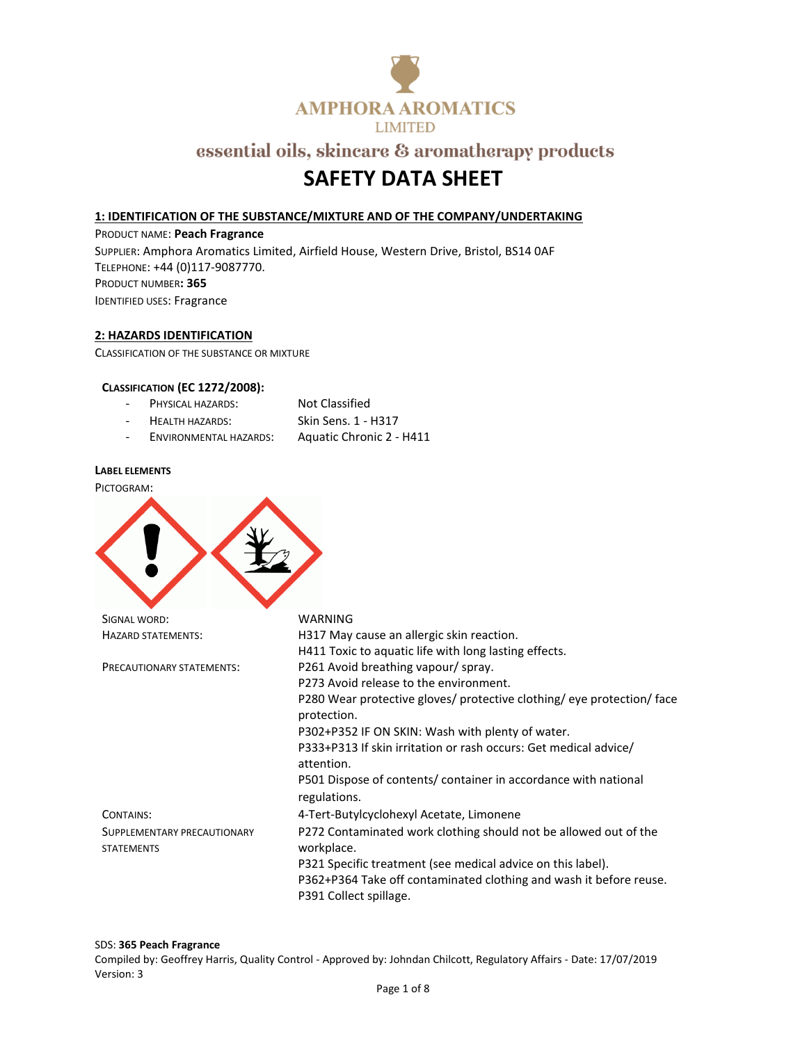

# **SAFETY DATA SHEET**

### **1: IDENTIFICATION OF THE SUBSTANCE/MIXTURE AND OF THE COMPANY/UNDERTAKING**

PRODUCT NAME: **Peach Fragrance** SUPPLIER: Amphora Aromatics Limited, Airfield House, Western Drive, Bristol, BS14 0AF TELEPHONE: +44 (0)117-9087770. PRODUCT NUMBER**: 365** IDENTIFIED USES: Fragrance

### **2: HAZARDS IDENTIFICATION**

CLASSIFICATION OF THE SUBSTANCE OR MIXTURE

#### **CLASSIFICATION (EC 1272/2008):**

| PHYSICAL HAZARDS:      | Not Classified      |
|------------------------|---------------------|
| <b>HEALTH HAZARDS:</b> | Skin Sens. 1 - H317 |

- ENVIRONMENTAL HAZARDS: Aquatic Chronic 2 - H411

#### **LABEL ELEMENTS**

| PICTOGRAM:                  |                                                                                              |
|-----------------------------|----------------------------------------------------------------------------------------------|
|                             |                                                                                              |
| SIGNAL WORD:                | <b>WARNING</b>                                                                               |
| <b>HAZARD STATEMENTS:</b>   | H317 May cause an allergic skin reaction.                                                    |
|                             | H411 Toxic to aquatic life with long lasting effects.                                        |
| PRECAUTIONARY STATEMENTS:   | P261 Avoid breathing vapour/spray.                                                           |
|                             | P273 Avoid release to the environment.                                                       |
|                             | P280 Wear protective gloves/ protective clothing/ eye protection/ face<br>protection.        |
|                             | P302+P352 IF ON SKIN: Wash with plenty of water.                                             |
|                             | P333+P313 If skin irritation or rash occurs: Get medical advice/<br>attention.               |
|                             | P501 Dispose of contents/ container in accordance with national<br>regulations.              |
| CONTAINS:                   | 4-Tert-Butylcyclohexyl Acetate, Limonene                                                     |
| SUPPLEMENTARY PRECAUTIONARY | P272 Contaminated work clothing should not be allowed out of the                             |
| <b>STATEMENTS</b>           | workplace.                                                                                   |
|                             | P321 Specific treatment (see medical advice on this label).                                  |
|                             | P362+P364 Take off contaminated clothing and wash it before reuse.<br>P391 Collect spillage. |

#### SDS: **365 Peach Fragrance**

Compiled by: Geoffrey Harris, Quality Control - Approved by: Johndan Chilcott, Regulatory Affairs - Date: 17/07/2019 Version: 3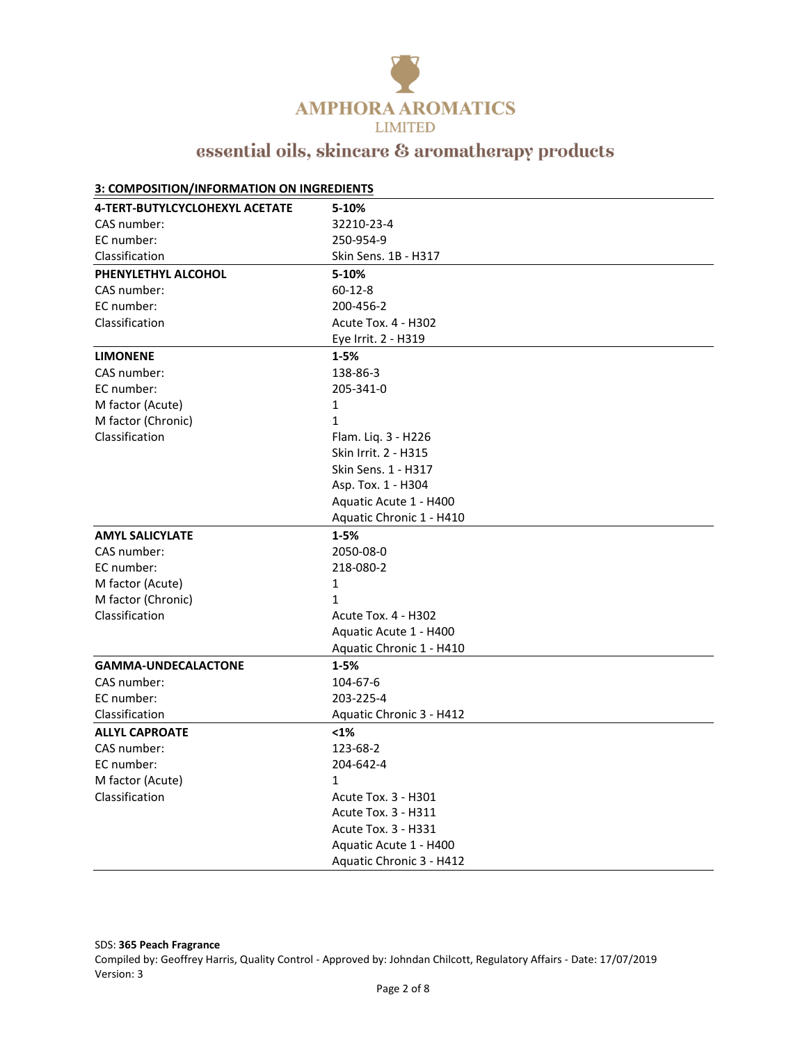

| 3: COMPOSITION/INFORMATION ON INGREDIENTS |                            |  |
|-------------------------------------------|----------------------------|--|
| <b>4-TERT-BUTYLCYCLOHEXYL ACETATE</b>     | 5-10%                      |  |
| CAS number:                               | 32210-23-4                 |  |
| EC number:                                | 250-954-9                  |  |
| Classification                            | Skin Sens. 1B - H317       |  |
| PHENYLETHYL ALCOHOL                       | 5-10%                      |  |
| CAS number:                               | $60 - 12 - 8$              |  |
| EC number:                                | 200-456-2                  |  |
| Classification                            | Acute Tox. 4 - H302        |  |
|                                           | Eye Irrit. 2 - H319        |  |
| <b>LIMONENE</b>                           | $1 - 5%$                   |  |
| CAS number:                               | 138-86-3                   |  |
| EC number:                                | 205-341-0                  |  |
| M factor (Acute)                          | 1                          |  |
| M factor (Chronic)                        | $\mathbf{1}$               |  |
| Classification                            | Flam. Liq. 3 - H226        |  |
|                                           | Skin Irrit. 2 - H315       |  |
|                                           | Skin Sens. 1 - H317        |  |
|                                           | Asp. Tox. 1 - H304         |  |
|                                           | Aquatic Acute 1 - H400     |  |
|                                           | Aquatic Chronic 1 - H410   |  |
| <b>AMYL SALICYLATE</b>                    | $1 - 5%$                   |  |
| CAS number:                               | 2050-08-0                  |  |
| EC number:                                | 218-080-2                  |  |
| M factor (Acute)                          | $\mathbf{1}$               |  |
| M factor (Chronic)                        | $\mathbf{1}$               |  |
| Classification                            | <b>Acute Tox. 4 - H302</b> |  |
|                                           | Aquatic Acute 1 - H400     |  |
|                                           | Aquatic Chronic 1 - H410   |  |
| <b>GAMMA-UNDECALACTONE</b>                | $1 - 5%$                   |  |
| CAS number:                               | 104-67-6                   |  |
| EC number:                                | 203-225-4                  |  |
| Classification                            | Aquatic Chronic 3 - H412   |  |
| <b>ALLYL CAPROATE</b>                     | $1%$                       |  |
| CAS number:                               | 123-68-2                   |  |
| EC number:                                | 204-642-4                  |  |
| M factor (Acute)                          | $\mathbf{1}$               |  |
| Classification                            | Acute Tox. 3 - H301        |  |
|                                           | Acute Tox. 3 - H311        |  |
|                                           | Acute Tox. 3 - H331        |  |
|                                           | Aquatic Acute 1 - H400     |  |
|                                           | Aquatic Chronic 3 - H412   |  |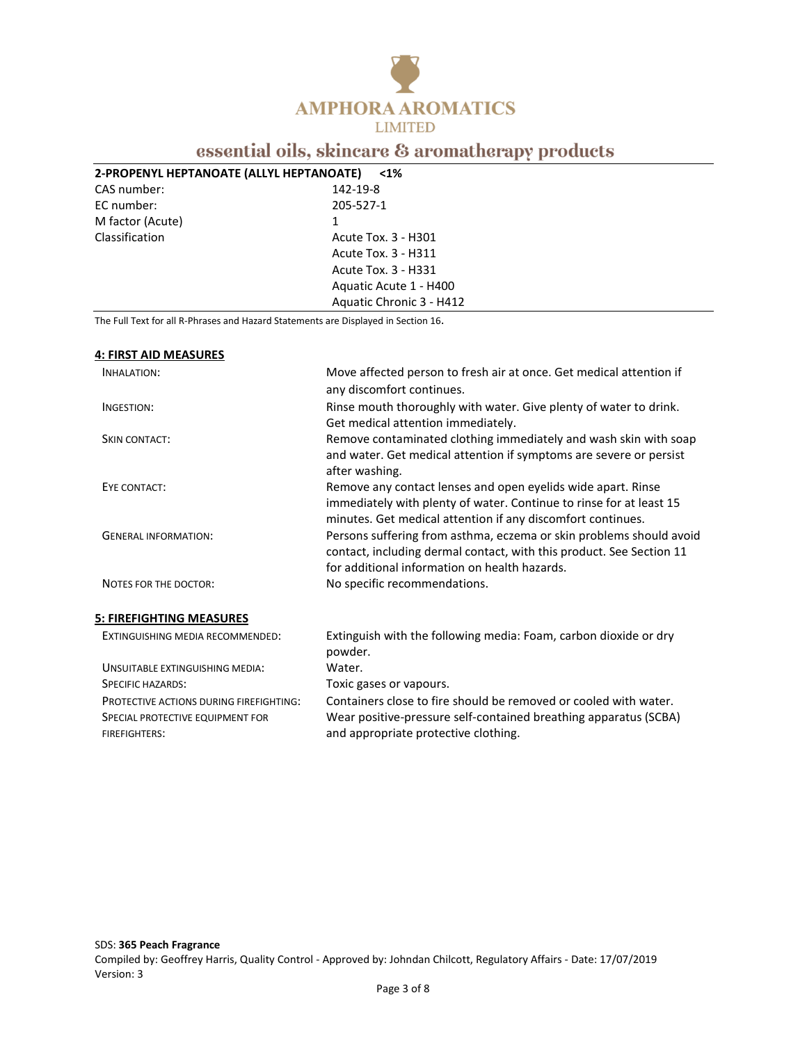

### **2-PROPENYL HEPTANOATE (ALLYL HEPTANOATE) <1%**

| CAS number:      |  |
|------------------|--|
| EC number:       |  |
| M factor (Acute) |  |
| Classification   |  |

## 142-19-8 EC number: 205-527-1 Acute Tox. 3 - H301 Acute Tox. 3 - H311 Acute Tox. 3 - H331 Aquatic Acute 1 - H400 Aquatic Chronic 3 - H412

The Full Text for all R-Phrases and Hazard Statements are Displayed in Section 16.

#### **4: FIRST AID MEASURES**

FIREFIGHTERS:

| <b>INHALATION:</b>                                                                 | Move affected person to fresh air at once. Get medical attention if<br>any discomfort continues.                                                                                                   |
|------------------------------------------------------------------------------------|----------------------------------------------------------------------------------------------------------------------------------------------------------------------------------------------------|
| INGESTION:                                                                         | Rinse mouth thoroughly with water. Give plenty of water to drink.<br>Get medical attention immediately.                                                                                            |
| <b>SKIN CONTACT:</b>                                                               | Remove contaminated clothing immediately and wash skin with soap<br>and water. Get medical attention if symptoms are severe or persist<br>after washing.                                           |
| EYE CONTACT:                                                                       | Remove any contact lenses and open eyelids wide apart. Rinse<br>immediately with plenty of water. Continue to rinse for at least 15<br>minutes. Get medical attention if any discomfort continues. |
| <b>GENERAL INFORMATION:</b>                                                        | Persons suffering from asthma, eczema or skin problems should avoid<br>contact, including dermal contact, with this product. See Section 11<br>for additional information on health hazards.       |
| NOTES FOR THE DOCTOR:                                                              | No specific recommendations.                                                                                                                                                                       |
| <u>5: FIREFIGHTING MEASURES</u>                                                    |                                                                                                                                                                                                    |
| EXTINGUISHING MEDIA RECOMMENDED:                                                   | Extinguish with the following media: Foam, carbon dioxide or dry<br>powder.                                                                                                                        |
| <b>UNSUITABLE EXTINGUISHING MEDIA:</b>                                             | Water.                                                                                                                                                                                             |
| <b>SPECIFIC HAZARDS:</b>                                                           | Toxic gases or vapours.                                                                                                                                                                            |
| <b>PROTECTIVE ACTIONS DURING FIREFIGHTING:</b><br>SPECIAL PROTECTIVE EQUIPMENT FOR | Containers close to fire should be removed or cooled with water.<br>Wear positive-pressure self-contained breathing apparatus (SCBA)                                                               |

and appropriate protective clothing.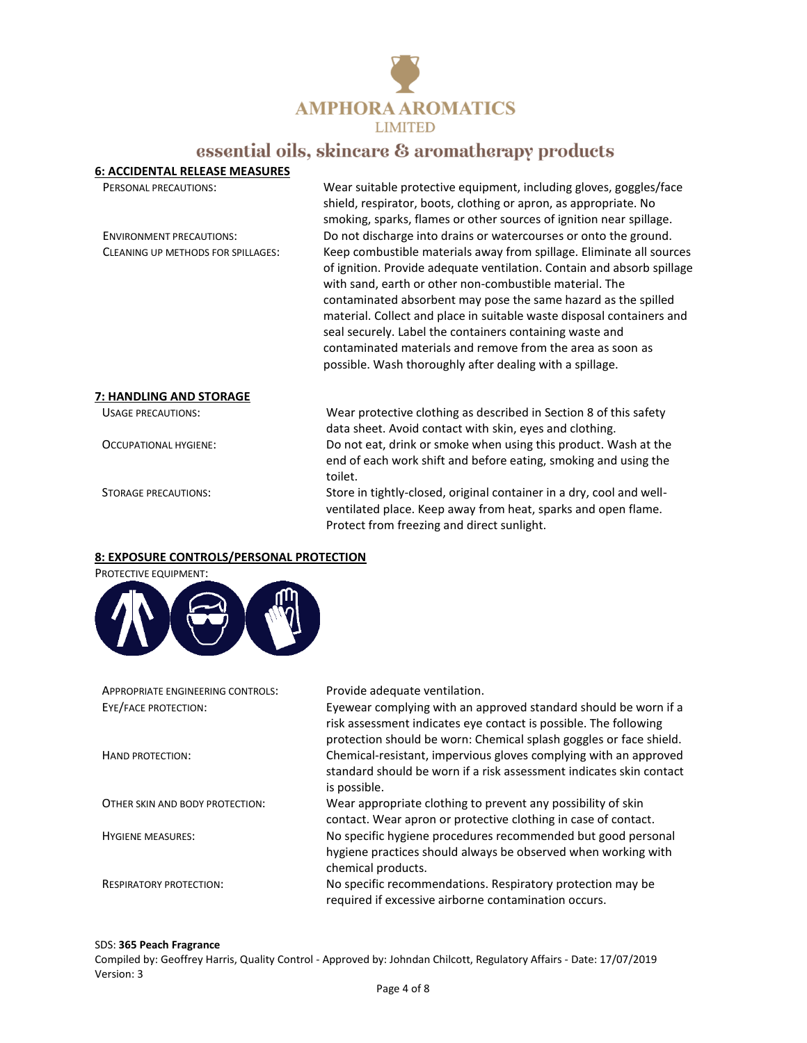

| <b>6: ACCIDENTAL RELEASE MEASURES</b> |                                                                                                                                                                                                                                                                                                                                                                                                                                                                                                                                            |  |
|---------------------------------------|--------------------------------------------------------------------------------------------------------------------------------------------------------------------------------------------------------------------------------------------------------------------------------------------------------------------------------------------------------------------------------------------------------------------------------------------------------------------------------------------------------------------------------------------|--|
| <b>PERSONAL PRECAUTIONS:</b>          | Wear suitable protective equipment, including gloves, goggles/face<br>shield, respirator, boots, clothing or apron, as appropriate. No<br>smoking, sparks, flames or other sources of ignition near spillage.                                                                                                                                                                                                                                                                                                                              |  |
| <b>ENVIRONMENT PRECAUTIONS:</b>       | Do not discharge into drains or watercourses or onto the ground.                                                                                                                                                                                                                                                                                                                                                                                                                                                                           |  |
| CLEANING UP METHODS FOR SPILLAGES:    | Keep combustible materials away from spillage. Eliminate all sources<br>of ignition. Provide adequate ventilation. Contain and absorb spillage<br>with sand, earth or other non-combustible material. The<br>contaminated absorbent may pose the same hazard as the spilled<br>material. Collect and place in suitable waste disposal containers and<br>seal securely. Label the containers containing waste and<br>contaminated materials and remove from the area as soon as<br>possible. Wash thoroughly after dealing with a spillage. |  |
| 7: HANDLING AND STORAGE               |                                                                                                                                                                                                                                                                                                                                                                                                                                                                                                                                            |  |
| USAGE PRECAUTIONS:                    | Wear protective clothing as described in Section 8 of this safety<br>data sheet. Avoid contact with skin, eyes and clothing.                                                                                                                                                                                                                                                                                                                                                                                                               |  |
| OCCUPATIONAL HYGIENE:                 | Do not eat, drink or smoke when using this product. Wash at the<br>end of each work shift and before eating, smoking and using the<br>toilet.                                                                                                                                                                                                                                                                                                                                                                                              |  |
| STORAGE PRECAUTIONS:                  | Store in tightly-closed, original container in a dry, cool and well-<br>ventilated place. Keep away from heat, sparks and open flame.<br>Protect from freezing and direct sunlight.                                                                                                                                                                                                                                                                                                                                                        |  |

#### **8: EXPOSURE CONTROLS/PERSONAL PROTECTION**



### APPROPRIATE ENGINEERING CONTROLS: Provide adequate ventilation. EYE/FACE PROTECTION: Eyewear complying with an approved standard should be worn if a risk assessment indicates eye contact is possible. The following protection should be worn: Chemical splash goggles or face shield. HAND PROTECTION: Chemical-resistant, impervious gloves complying with an approved standard should be worn if a risk assessment indicates skin contact is possible. OTHER SKIN AND BODY PROTECTION: Wear appropriate clothing to prevent any possibility of skin contact. Wear apron or protective clothing in case of contact. HYGIENE MEASURES: No specific hygiene procedures recommended but good personal hygiene practices should always be observed when working with chemical products. RESPIRATORY PROTECTION: No specific recommendations. Respiratory protection may be required if excessive airborne contamination occurs.

#### SDS: **365 Peach Fragrance**

Compiled by: Geoffrey Harris, Quality Control - Approved by: Johndan Chilcott, Regulatory Affairs - Date: 17/07/2019 Version: 3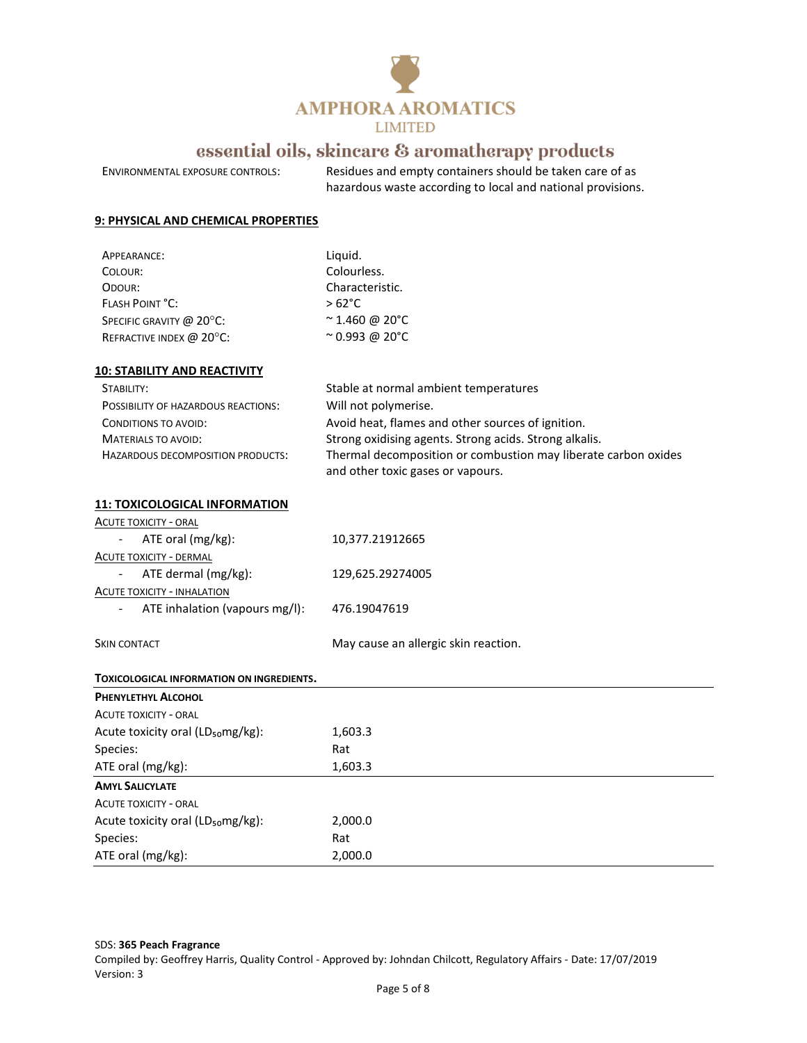

ENVIRONMENTAL EXPOSURE CONTROLS: Residues and empty containers should be taken care of as

hazardous waste according to local and national provisions.

### **9: PHYSICAL AND CHEMICAL PROPERTIES**

| APPEARANCE:              | Liguid.                |
|--------------------------|------------------------|
| COLOUR:                  | Colourless.            |
| ODOUR:                   | Characteristic.        |
| <b>FLASH POINT °C:</b>   | $>62^{\circ}$ C        |
| SPECIFIC GRAVITY @ 20°C: | $\approx$ 1.460 @ 20°C |
| REFRACTIVE INDEX @ 20°C: | $^{\sim}$ 0.993 @ 20°C |
|                          |                        |

#### **10: STABILITY AND REACTIVITY**

| STABILITY:                                 | Stable at normal ambient temperatures                          |
|--------------------------------------------|----------------------------------------------------------------|
| <b>POSSIBILITY OF HAZARDOUS REACTIONS:</b> | Will not polymerise.                                           |
| CONDITIONS TO AVOID:                       | Avoid heat, flames and other sources of ignition.              |
| MATERIALS TO AVOID:                        | Strong oxidising agents. Strong acids. Strong alkalis.         |
| <b>HAZARDOUS DECOMPOSITION PRODUCTS:</b>   | Thermal decomposition or combustion may liberate carbon oxides |
|                                            | and other toxic gases or vapours.                              |

#### **11: TOXICOLOGICAL INFORMATION**

|                                | ACUTE TOXICITY - ORAL          |                                      |
|--------------------------------|--------------------------------|--------------------------------------|
| $\sim$ $-$                     | ATE oral (mg/kg):              | 10,377.21912665                      |
| <b>ACUTE TOXICITY - DERMAL</b> |                                |                                      |
| $\sim$                         | ATE dermal (mg/kg):            | 129,625.29274005                     |
| ACUTE TOXICITY - INHALATION    |                                |                                      |
| $\sim$                         | ATE inhalation (vapours mg/l): | 476.19047619                         |
|                                |                                |                                      |
| <b>SKIN CONTACT</b>            |                                | May cause an allergic skin reaction. |

# **TOXICOLOGICAL INFORMATION ON INGREDIENTS. PHENYLETHYL ALCOHOL**

| <b>ACUTE TOXICITY - ORAL</b>                  |         |
|-----------------------------------------------|---------|
| Acute toxicity oral (LD <sub>50</sub> mg/kg): | 1,603.3 |
| Species:                                      | Rat     |
| ATE oral (mg/kg):                             | 1,603.3 |
| <b>AMYL SALICYLATE</b>                        |         |
| <b>ACUTE TOXICITY - ORAL</b>                  |         |
| Acute toxicity oral (LD <sub>50</sub> mg/kg): | 2,000.0 |
| Species:                                      | Rat     |
| ATE oral (mg/kg):                             | 2,000.0 |

SDS: **365 Peach Fragrance**

Compiled by: Geoffrey Harris, Quality Control - Approved by: Johndan Chilcott, Regulatory Affairs - Date: 17/07/2019 Version: 3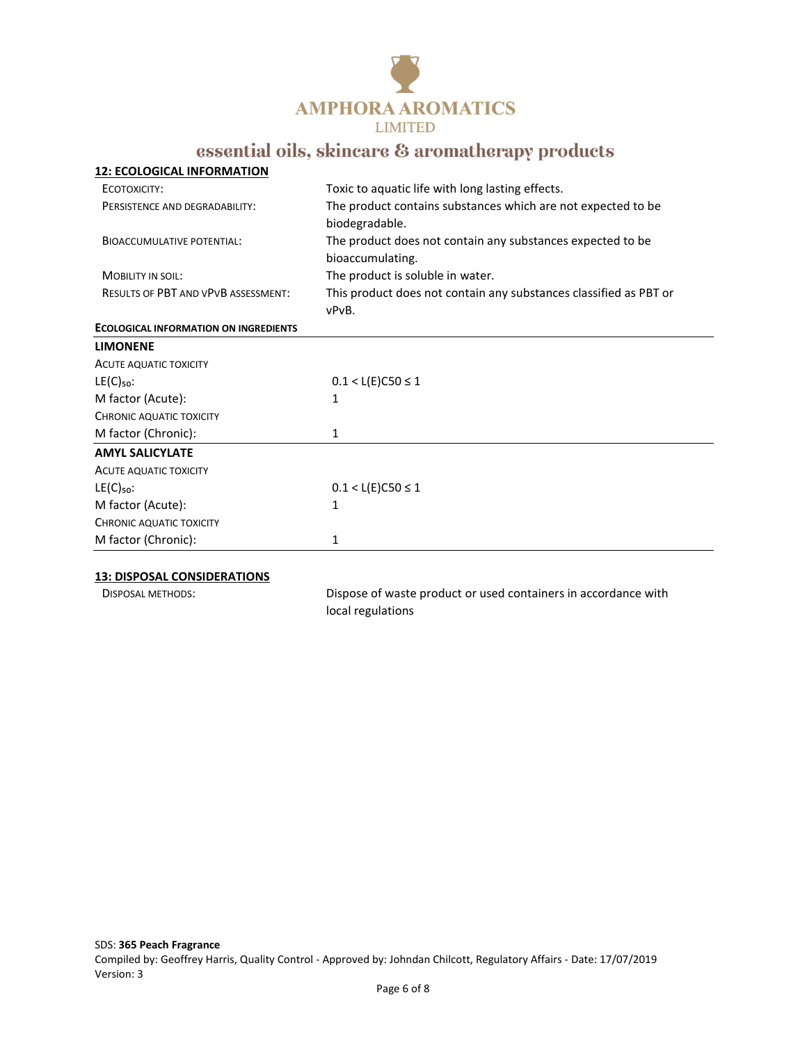

| <b>12: ECOLOGICAL INFORMATION</b>            |                                                                   |  |
|----------------------------------------------|-------------------------------------------------------------------|--|
| ECOTOXICITY:                                 | Toxic to aquatic life with long lasting effects.                  |  |
| PERSISTENCE AND DEGRADABILITY:               | The product contains substances which are not expected to be      |  |
|                                              | biodegradable.                                                    |  |
| <b>BIOACCUMULATIVE POTENTIAL:</b>            | The product does not contain any substances expected to be        |  |
|                                              | bioaccumulating.                                                  |  |
| <b>MOBILITY IN SOIL:</b>                     | The product is soluble in water.                                  |  |
| <b>RESULTS OF PBT AND VPVB ASSESSMENT:</b>   | This product does not contain any substances classified as PBT or |  |
|                                              | vPvB.                                                             |  |
| <b>ECOLOGICAL INFORMATION ON INGREDIENTS</b> |                                                                   |  |
| <b>LIMONENE</b>                              |                                                                   |  |
| <b>ACUTE AQUATIC TOXICITY</b>                |                                                                   |  |
| $LE(C)_{50}$ :                               | $0.1 < L(E)$ C50 ≤ 1                                              |  |
| M factor (Acute):                            | 1                                                                 |  |
| CHRONIC AQUATIC TOXICITY                     |                                                                   |  |
| M factor (Chronic):                          | 1                                                                 |  |
| <b>AMYL SALICYLATE</b>                       |                                                                   |  |
| ACUTE AQUATIC TOXICITY                       |                                                                   |  |
| $LE(C)_{50}$ :                               | $0.1 < L(E)$ C50 ≤ 1                                              |  |
| M factor (Acute):                            | 1                                                                 |  |
| CHRONIC AQUATIC TOXICITY                     |                                                                   |  |
| M factor (Chronic):                          | 1                                                                 |  |
|                                              |                                                                   |  |

#### **13: DISPOSAL CONSIDERATIONS**

DISPOSAL METHODS: Dispose of waste product or used containers in accordance with local regulations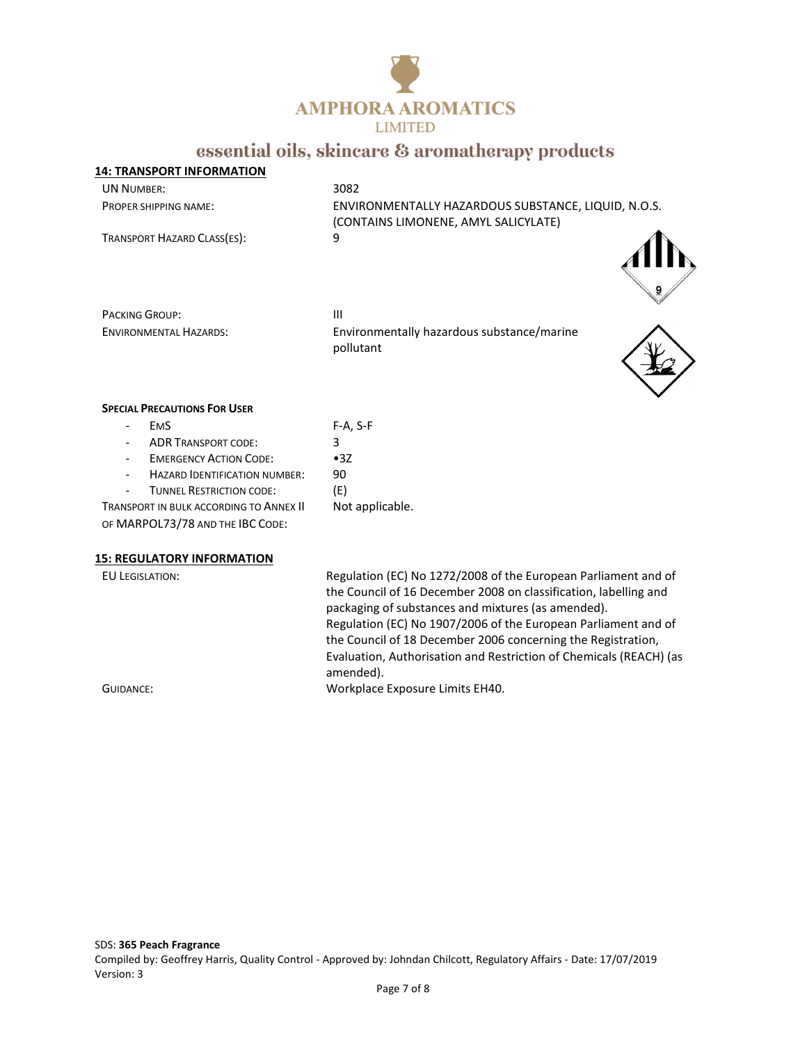

## **14: TRANSPORT INFORMATION** UN NUMBER: 3082 PROPER SHIPPING NAME: ENVIRONMENTALLY HAZARDOUS SUBSTANCE, LIQUID, N.O.S. (CONTAINS LIMONENE, AMYL SALICYLATE) TRANSPORT HAZARD CLASS(ES): 9

PACKING GROUP: III

ENVIRONMENTAL HAZARDS: Environmentally hazardous substance/marine pollutant



### **SPECIAL PRECAUTIONS FOR USER**

| <b>EMS</b>                              | $F-A, S-F$ |
|-----------------------------------------|------------|
| <b>ADR TRANSPORT CODE:</b>              | 3          |
| <b>EMERGENCY ACTION CODE:</b>           | •3Z        |
| <b>HAZARD IDENTIFICATION NUMBER:</b>    | 90         |
| <b>TUNNEL RESTRICTION CODE:</b>         | (E)        |
| TRANSPORT IN BULK ACCORDING TO ANNEX II | Not appli  |
|                                         |            |

cable.

OF MARPOL73/78 AND THE IBC CODE:

**15: REGULATORY INFORMATION** 

EU LEGISLATION: Regulation (EC) No 1272/2008 of the European Parliament and of the Council of 16 December 2008 on classification, labelling and packaging of substances and mixtures (as amended). Regulation (EC) No 1907/2006 of the European Parliament and of the Council of 18 December 2006 concerning the Registration, Evaluation, Authorisation and Restriction of Chemicals (REACH) (as amended). GUIDANCE: Workplace Exposure Limits EH40.